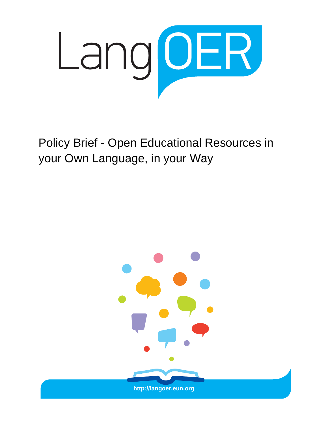

Policy Brief - Open Educational Resources in your Own Language, in your Way

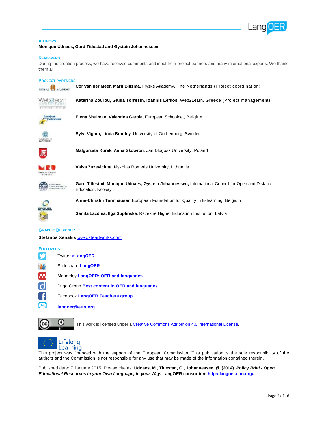

#### **AUTHORS**

**Monique Udnaes, Gard Titlestad and Øystein Johannessen**

#### **REVIEWERS**

During the creation process, we have received comments and input from project partners and many international experts. We thank them all!

#### **PROJECT PARTNERS**



**Cor van der Meer, Marit Bijlsma,** Fryske Akademy, The Netherlands (Project coordination)

**Katerina Zourou, Giulia Torresin, Ioannis Lefkos,** Web2Learn, Greece (Project management)



ITT Renewerk Elistenge

**Elena Shulman, Valentina Garoia,** European Schoolnet, Belgium



**Sylvi Vigmo, Linda Bradley,** University of Gothenburg, Sweden



**Malgorzata Kurek, Anna Skowron,** Jan Dlugosz University, Poland



**Vaiva Zuzeviciute**, Mykolas Romeris University**,** Lithuania



**Gard Titlestad, Monique Udnaes, Øystein Johannessen,** International Council for Open and Distance Education, Norway



**Anne-Christin Tannhäuser**, European Foundation for Quality in E-learning, Belgium

**Sanita Lazdina, Ilga Suplinska**, Rezekne Higher Education Institution**,** Latvia

#### **GRAPHIC DESIGNER**

**Stefanos Xenakis** [www.steartworks.com](http://www.steartworks.com/)

#### **FOLLOW US**

- v Twitter **[#LangOER](https://twitter.com/hashtag/langoer)** Slideshare **[LangOER](http://www.slideshare.net/LangOER)** M Mendeley **[LangOER: OER and languages](http://www.mendeley.com/groups/4109551/langoer-oer-and-languages/)** d Diigo Group **[Best content in OER and languages](https://groups.diigo.com/group/oer-and-languages)** Facebook **[LangOER Teachers group](https://www.facebook.com/groups/430986903710529)**
	- **langoer@eun.org**



ᢂ

This work is licensed under [a Creative Commons Attribution 4.0 International License.](http://creativecommons.org/licenses/by/4.0/)



This project was financed with the support of the European Commission. This publication is the sole responsibility of the authors and the Commission is not responsible for any use that may be made of the information contained therein.

Published date: 7 January 2015. Please cite as: **Udnaes, M., Titlestad, G., Johannessen, Ø. (2014).** *Policy Brief - Open Educational Resources in your Own Language, in your Way.* **LangOER consortiu[m http://langoer.eun.org/.](http://langoer.eun.org/)**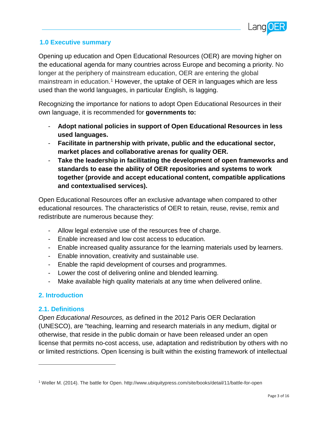

## **1.0 Executive summary**

Opening up education and Open Educational Resources (OER) are moving higher on the educational agenda for many countries across Europe and becoming a priority. No longer at the periphery of mainstream education, OER are entering the global mainstream in education.<sup>[1](#page-2-0)</sup> However, the uptake of OER in languages which are less used than the world languages, in particular English, is lagging.

Recognizing the importance for nations to adopt Open Educational Resources in their own language, it is recommended for **governments to:**

- **Adopt national policies in support of Open Educational Resources in less used languages.**
- **Facilitate in partnership with private, public and the educational sector, market places and collaborative arenas for quality OER.**
- **Take the leadership in facilitating the development of open frameworks and standards to ease the ability of OER repositories and systems to work together (provide and accept educational content, compatible applications and contextualised services).**

Open Educational Resources offer an exclusive advantage when compared to other educational resources. The characteristics of OER to retain, reuse, revise, remix and redistribute are numerous because they:

- Allow legal extensive use of the resources free of charge.
- Enable increased and low cost access to education.
- Enable increased quality assurance for the learning materials used by learners.
- Enable innovation, creativity and sustainable use.
- Enable the rapid development of courses and programmes.
- Lower the cost of delivering online and blended learning.
- Make available high quality materials at any time when delivered online.

### **2. Introduction**

#### **2.1. Definitions**

 $\overline{a}$ 

*Open Educational Resources,* as defined in the 2012 Paris OER Declaration (UNESCO), are "teaching, learning and research materials in any medium, digital or otherwise, that reside in the public domain or have been released under an open license that permits no-cost access, use, adaptation and redistribution by others with no or limited restrictions. Open licensing is built within the existing framework of intellectual

<span id="page-2-0"></span><sup>1</sup> Weller M. (2014). The battle for Open. http://www.ubiquitypress.com/site/books/detail/11/battle-for-open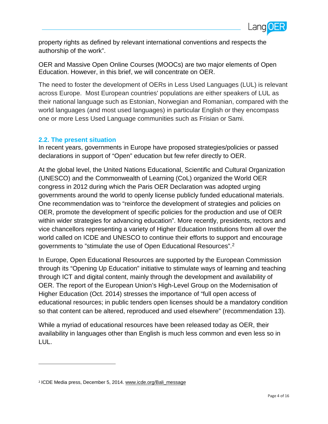

property rights as defined by relevant international conventions and respects the authorship of the work".

OER and Massive Open Online Courses (MOOCs) are two major elements of Open Education. However, in this brief, we will concentrate on OER.

The need to foster the development of OERs in Less Used Languages (LUL) is relevant across Europe. Most European countries' populations are either speakers of LUL as their national language such as Estonian, Norwegian and Romanian, compared with the world languages (and most used languages) in particular English or they encompass one or more Less Used Language communities such as Frisian or Sami.

#### **2.2. The present situation**

In recent years, governments in Europe have proposed strategies/policies or passed declarations in support of "Open" education but few refer directly to OER.

At the global level, the United Nations Educational, Scientific and Cultural Organization (UNESCO) and the Commonwealth of Learning (CoL) organized the World OER congress in 2012 during which the Paris OER Declaration was adopted urging governments around the world to openly license publicly funded educational materials. One recommendation was to "reinforce the development of strategies and policies on OER, promote the development of specific policies for the production and use of OER within wider strategies for advancing education". More recently, presidents, rectors and vice chancellors representing a variety of Higher Education Institutions from all over the world called on ICDE and UNESCO to continue their efforts to support and encourage governments to "stimulate the use of Open Educational Resources"[.2](#page-3-0)

In Europe, Open Educational Resources are supported by the European Commission through its "Opening Up Education" initiative to stimulate ways of learning and teaching through ICT and digital content, mainly through the development and availability of OER. The report of the European Union's High-Level Group on the Modernisation of Higher Education (Oct. 2014) stresses the importance of "full open access of educational resources; in public tenders open licenses should be a mandatory condition so that content can be altered, reproduced and used elsewhere" (recommendation 13).

While a myriad of educational resources have been released today as OER, their availability in languages other than English is much less common and even less so in LUL.

<span id="page-3-0"></span><sup>2</sup> ICDE Media press, December 5, 2014. [www.icde.org/Bali\\_](http://www.icde.org/Bali)message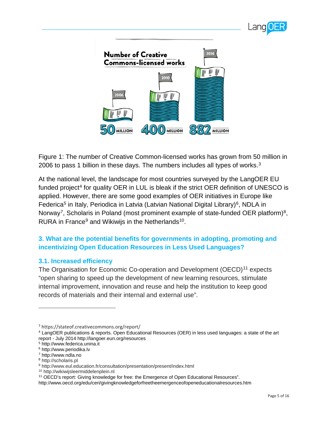



Figure 1: The number of Creative Common-licensed works has grown from 50 million in 2006 to pass 1 billion in these days. The numbers includes all types of works.<sup>[3](#page-4-0)</sup>

At the national level, the landscape for most countries surveyed by the LangOER EU funded project<sup>[4](#page-4-1)</sup> for quality OER in LUL is bleak if the strict OER definition of UNESCO is applied. However, there are some good examples of OER initiatives in Europe like Federica<sup>[5](#page-4-2)</sup> in Italy, Periodica in Latvia (Latvian National Digital Library)<sup>[6](#page-4-3)</sup>, NDLA in Norway<sup>7</sup>, Scholaris in Poland (most prominent example of state-funded OER platform)<sup>[8](#page-4-5)</sup>. RURA in France<sup>[9](#page-4-6)</sup> and Wikiwijs in the Netherlands<sup>10</sup>.

# **3. What are the potential benefits for governments in adopting, promoting and incentivizing Open Education Resources in Less Used Languages?**

### **3.1. Increased efficiency**

The Organisation for Economic Co-operation and Development (OECD)<sup>[11](#page-4-8)</sup> expects "open sharing to speed up the development of new learning resources, stimulate internal improvement, innovation and reuse and help the institution to keep good records of materials and their internal and external use".

<span id="page-4-0"></span><sup>3</sup> https://stateof.creativecommons.org/report/

<span id="page-4-1"></span><sup>4</sup> LangOER publications & reports. Open Educational Resources (OER) in less used languages: a state of the art report - July 2014 http://langoer.eun.org/resources

<span id="page-4-2"></span><sup>5</sup> http://www.federica.unina.it

<span id="page-4-3"></span><sup>6</sup> http://www.periodika.lv

<span id="page-4-4"></span><sup>7</sup> http://www.ndla.no

<span id="page-4-5"></span><sup>8</sup> http://scholaris.pl

<span id="page-4-7"></span><span id="page-4-6"></span><sup>9</sup> http://www.eul.education.fr/consultation/presentation/present/index.html

<sup>10</sup> http://wikiwijsleermiddelenplein.nl

<span id="page-4-8"></span><sup>11</sup> OECD's report: Giving knowledge for free: the Emergence of Open Educational Resources".

http://www.oecd.org/edu/ceri/givingknowledgeforfreetheemergenceofopeneducationalresources.htm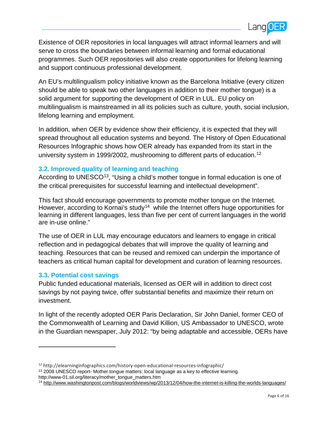

Existence of OER repositories in local languages will attract informal learners and will serve to cross the boundaries between informal learning and formal educational programmes. Such OER repositories will also create opportunities for lifelong learning and support continuous professional development.

An EU's multilingualism policy initiative known as the Barcelona Initiative (every citizen should be able to speak two other languages in addition to their mother tongue) is a solid argument for supporting the development of OER in LUL. EU policy on multilingualism is mainstreamed in all its policies such as culture, youth, social inclusion, lifelong learning and employment.

In addition, when OER by evidence show their efficiency, it is expected that they will spread throughout all education systems and beyond. The History of Open Educational Resources Infographic shows how OER already has expanded from its start in the university system in 1999/2002, mushrooming to different parts of education.<sup>[12](#page-5-0)</sup>

### **3.2. Improved quality of learning and teaching**

According to UNESCO<sup>13</sup>, "Using a child's mother tongue in formal education is one of the critical prerequisites for successful learning and intellectual development".

This fact should encourage governments to promote mother tongue on the Internet. However, according to Kornai's study<sup>[14](#page-5-2)</sup> while the Internet offers huge opportunities for learning in different languages, less than five per cent of current languages in the world are in-use online."

The use of OER in LUL may encourage educators and learners to engage in critical reflection and in pedagogical debates that will improve the quality of learning and teaching. Resources that can be reused and remixed can underpin the importance of teachers as critical human capital for development and curation of learning resources.

### **3.3. Potential cost savings**

 $\overline{a}$ 

Public funded educational materials, licensed as OER will in addition to direct cost savings by not paying twice, offer substantial benefits and maximize their return on investment.

In light of the recently adopted OER Paris Declaration, Sir John Daniel, former CEO of the Commonwealth of Learning and David Killion, US Ambassador to UNESCO, wrote in the Guardian newspaper, July 2012: "by being adaptable and accessible, OERs have

<span id="page-5-1"></span><sup>13</sup> 2008 UNESCO report- Mother tongue matters: local language as a key to effective learning. http://www-01.sil.org/literacy/mother\_tongue\_matters.htm

<span id="page-5-0"></span><sup>12</sup> http://elearninginfographics.com/history-open-educational-resources-infographic/

<span id="page-5-2"></span><sup>14</sup> <http://www.washingtonpost.com/blogs/worldviews/wp/2013/12/04/how-the-internet-is-killing-the-worlds-languages/>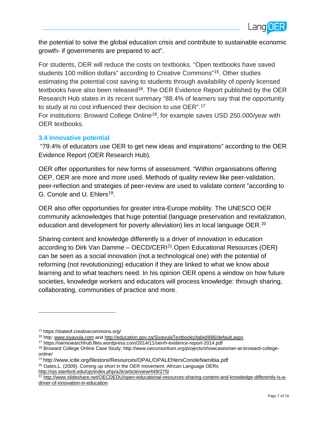

the potential to solve the global education crisis and contribute to sustainable economic growth- if governments are prepared to act".

For students, OER will reduce the costs on textbooks. "Open textbooks have saved students 100 million dollars" according to Creative Commons"[15.](#page-6-0) Other studies estimating the potential cost saving to students through availability of openly licensed textbooks have also been released<sup>16</sup>. The OER Evidence Report published by the OER Research Hub states in its recent summary "88.4% of learners say that the opportunity to study at no cost influenced their decision to use OER".[17](#page-6-2)

For institutions: Broward College Online<sup>18</sup>, for example saves USD 250.000/year with OER textbooks.

### **3.4 Innovative potential**

"79.4% of educators use OER to get new ideas and inspirations" according to the OER Evidence Report (OER Research Hub).

OER offer opportunities for new forms of assessment. "Within organisations offering OEP, OER are more and more used. Methods of quality review like peer-validation, peer-reflection and strategies of peer-review are used to validate content "according to G. Conole and U. Ehlers<sup>19</sup>.

OER also offer opportunities for greater intra-Europe mobility. The UNESCO OER community acknowledges that huge potential (language preservation and revitalization, education and development for poverty alleviation) lies in local language OER.<sup>[20](#page-6-5)</sup>

Sharing content and knowledge differently is a driver of innovation in education according to Dirk Van Damme – OECD/CERI $^{21}$  $^{21}$  $^{21}$ . Open Educational Resources (OER) can be seen as a social innovation (not a technological one) with the potential of reforming (not revolutionizing) education if they are linked to what we know about learning and to what teachers need. In his opinion OER opens a window on how future societies, knowledge workers and educators will process knowledge: through sharing, collaborating, communities of practice and more.

<span id="page-6-0"></span><sup>15</sup> https://stateof.creativecommons.org/

<span id="page-6-2"></span><span id="page-6-1"></span><sup>&</sup>lt;sup>16</sup> http: [www.siyavula.com](http://www.siyavula.com/) and<http://education.gov.za/SiyavulaTextbooks/tabid/886/default.aspx><br><sup>17</sup> https://oerresearchhub.files.wordpress.com/2014/11/oerrh-evidence-report-2014.pdf

<span id="page-6-3"></span><sup>&</sup>lt;sup>18</sup> Broward College Online Case Study: http://www.oeconsortium.org/projects/showcases/oer-at-broward-collegeonline/

<span id="page-6-4"></span><sup>19</sup> http://www.icde.org/filestore/Resources/OPAL/OPALEhlersConoleNamibia.pdf

<sup>&</sup>lt;sup>20</sup> Oates, L. (2009). Coming up short in the OER movement: African Language OERs

<span id="page-6-6"></span><span id="page-6-5"></span>[http://ojs.stanford.edu/ojs/index.php/a2k/article/view/449/275l](http://ojs.stanford.edu/ojs/index.php/a2k/article/view/449/275)

<sup>21</sup> [http://www.slideshare.net/OECDEDU/open-educational-resources-sharing-content-and-knowledge-differently-is-a](http://www.slideshare.net/OECDEDU/open-educational-resources-sharing-content-and-knowledge-differently-is-a-driver-of-innovation-in-education)[driver-of-innovation-in-education](http://www.slideshare.net/OECDEDU/open-educational-resources-sharing-content-and-knowledge-differently-is-a-driver-of-innovation-in-education)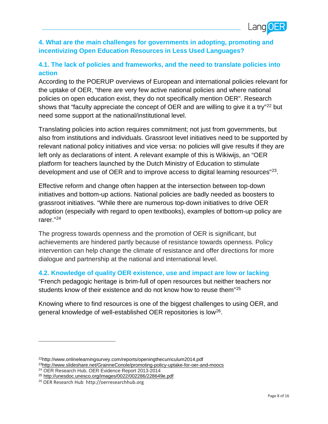

# **4. What are the main challenges for governments in adopting, promoting and incentivizing Open Education Resources in Less Used Languages?**

# **4.1. The lack of policies and frameworks, and the need to translate policies into action**

According to the POERUP overviews of European and international policies relevant for the uptake of OER, "there are very few active national policies and where national policies on open education exist, they do not specifically mention OER". Research shows that "faculty appreciate the concept of OER and are willing to give it a try"<sup>[22](#page-7-0)</sup> but need some support at the national/institutional level.

Translating policies into action requires commitment; not just from governments, but also from institutions and individuals. Grassroot level initiatives need to be supported by relevant national policy initiatives and vice versa: no policies will give results if they are left only as declarations of intent. A relevant example of this is Wikiwijs, an "OER platform for teachers launched by the Dutch Ministry of Education to stimulate development and use of OER and to improve access to digital learning resources<sup>"23</sup>.

Effective reform and change often happen at the intersection between top-down initiatives and bottom-up actions. National policies are badly needed as boosters to grassroot initiatives. "While there are numerous top-down initiatives to drive OER adoption (especially with regard to open textbooks), examples of bottom-up policy are rarer."[24](#page-7-2)

The progress towards openness and the promotion of OER is significant, but achievements are hindered partly because of resistance towards openness. Policy intervention can help change the climate of resistance and offer directions for more dialogue and partnership at the national and international level.

### **4.2. Knowledge of quality OER existence, use and impact are low or lacking**

"French pedagogic heritage is brim-full of open resources but neither teachers nor students know of their existence and do not know how to reuse them"<sup>[25](#page-7-3)</sup>

Knowing where to find resources is one of the biggest challenges to using OER, and general knowledge of well-established OER repositories is low[26](#page-7-4).

<sup>24</sup> OER Research Hub, OER Evidence Report 2013-2014

<span id="page-7-1"></span><span id="page-7-0"></span><sup>22</sup>http://www.onlinelearningsurvey.com/reports/openingthecurriculum2014.pdf <sup>23</sup>http://www.slideshare.net/GrainneConole/promoting-policy-uptake-for-oer-and-moocs

<span id="page-7-3"></span><span id="page-7-2"></span><sup>25</sup> <http://unesdoc.unesco.org/images/0022/002286/228649e.pdf>

<span id="page-7-4"></span><sup>26</sup> OER Research Hub http://oerresearchhub.org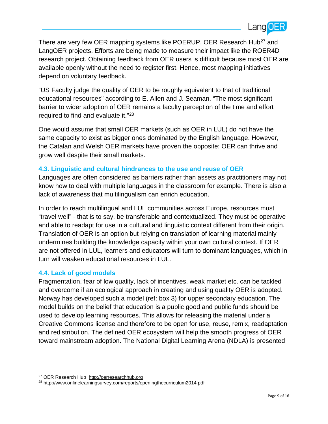

There are very few OER mapping systems like POERUP, OER Research Hub<sup>[27](#page-8-0)</sup> and LangOER projects. Efforts are being made to measure their impact like the ROER4D research project. Obtaining feedback from OER users is difficult because most OER are available openly without the need to register first. Hence, most mapping initiatives depend on voluntary feedback.

"US Faculty judge the quality of OER to be roughly equivalent to that of traditional educational resources" according to E. Allen and J. Seaman. "The most significant barrier to wider adoption of OER remains a faculty perception of the time and effort required to find and evaluate it."[28](#page-8-1)

One would assume that small OER markets (such as OER in LUL) do not have the same capacity to exist as bigger ones dominated by the English language. However, the Catalan and Welsh OER markets have proven the opposite: OER can thrive and grow well despite their small markets.

## **4.3. Linguistic and cultural hindrances to the use and reuse of OER**

Languages are often considered as barriers rather than assets as practitioners may not know how to deal with multiple languages in the classroom for example. There is also a lack of awareness that multilingualism can enrich education.

In order to reach multilingual and LUL communities across Europe, resources must "travel well" - that is to say, be transferable and contextualized. They must be operative and able to readapt for use in a cultural and linguistic context different from their origin. Translation of OER is an option but relying on translation of learning material mainly undermines building the knowledge capacity within your own cultural context. If OER are not offered in LUL, learners and educators will turn to dominant languages, which in turn will weaken educational resources in LUL.

### **4.4. Lack of good models**

Fragmentation, fear of low quality, lack of incentives, weak market etc. can be tackled and overcome if an ecological approach in creating and using quality OER is adopted. Norway has developed such a model (ref: box 3) for upper secondary education. The model builds on the belief that education is a public good and public funds should be used to develop learning resources. This allows for releasing the material under a Creative Commons license and therefore to be open for use, reuse, remix, readaptation and redistribution. The defined OER ecosystem will help the smooth progress of OER toward mainstream adoption. The National Digital Learning Arena (NDLA) is presented

<span id="page-8-1"></span><span id="page-8-0"></span><sup>&</sup>lt;sup>27</sup> OER Research Hub [http://oerresearchhub.org](http://oerresearchhub.org/)

<sup>28</sup> <http://www.onlinelearningsurvey.com/reports/openingthecurriculum2014.pdf>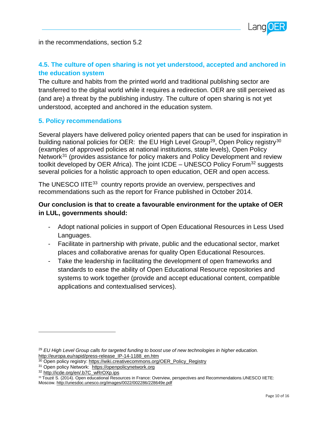

in the recommendations, section 5.2

# **4.5. The culture of open sharing is not yet understood, accepted and anchored in the education system**

The culture and habits from the printed world and traditional publishing sector are transferred to the digital world while it requires a redirection. OER are still perceived as (and are) a threat by the publishing industry. The culture of open sharing is not yet understood, accepted and anchored in the education system.

### **5. Policy recommendations**

Several players have delivered policy oriented papers that can be used for inspiration in building national policies for OER: the EU High Level Group<sup>29</sup>, Open Policy registry<sup>[30](#page-9-1)</sup> (examples of approved policies at national institutions, state levels), Open Policy Network<sup>[31](#page-9-2)</sup> (provides assistance for policy makers and Policy Development and review toolkit developed by OER Africa). The joint ICDE  $-$  UNESCO Policy Forum<sup>[32](#page-9-3)</sup> suggests several policies for a holistic approach to open education, OER and open access.

The UNESCO IITE<sup>[33](#page-9-4)</sup> country reports provide an overview, perspectives and recommendations such as the report for France published in October 2014.

# **Our conclusion is that to create a favourable environment for the uptake of OER in LUL, governments should:**

- Adopt national policies in support of Open Educational Resources in Less Used Languages.
- Facilitate in partnership with private, public and the educational sector, market places and collaborative arenas for quality Open Educational Resources.
- Take the leadership in facilitating the development of open frameworks and standards to ease the ability of Open Educational Resource repositories and systems to work together (provide and accept educational content, compatible applications and contextualised services).

<span id="page-9-0"></span><sup>29</sup> *EU High Level Group calls for targeted funding to boost use of new technologies in higher education.*  [http://europa.eu/rapid/press-release\\_IP-14-1188\\_en.htm](http://europa.eu/rapid/press-release_IP-14-1188_en.htm)

<span id="page-9-1"></span><sup>30</sup> Open policy registry[: https://wiki.creativecommons.org/OER\\_Policy\\_Registry](https://wiki.creativecommons.org/OER_Policy_Registry)

<span id="page-9-3"></span><span id="page-9-2"></span><sup>31</sup> Open policy Network: [https://openpolicynetwork.org](https://openpolicynetwork.org/)

<sup>32</sup> [http://icde.org/en/.b7C\\_wRrOXp.ips](http://icde.org/en/.b7C_wRrOXp.ips)

<span id="page-9-4"></span><sup>33</sup> Touzé S. (2014). Open educational Resources in France: Overview, perspectives and Recommendations. UNESCO IIETE: Moscow.<http://unesdoc.unesco.org/images/0022/002286/228649e.pdf>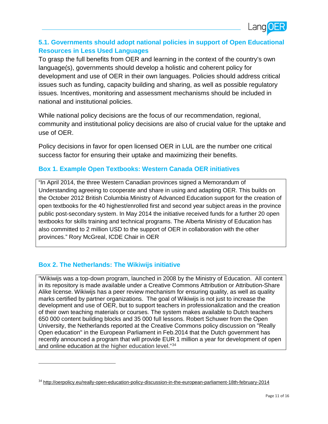

# **5.1. Governments should adopt national policies in support of Open Educational Resources in Less Used Languages**

To grasp the full benefits from OER and learning in the context of the country's own language(s), governments should develop a holistic and coherent policy for development and use of OER in their own languages. Policies should address critical issues such as funding, capacity building and sharing, as well as possible regulatory issues. Incentives, monitoring and assessment mechanisms should be included in national and institutional policies.

While national policy decisions are the focus of our recommendation, regional, community and institutional policy decisions are also of crucial value for the uptake and use of OER.

Policy decisions in favor for open licensed OER in LUL are the number one critical success factor for ensuring their uptake and maximizing their benefits.

# **Box 1. Example Open Textbooks: Western Canada OER initiatives**

"In April 2014, the three Western Canadian provinces signed a Memorandum of Understanding agreeing to cooperate and share in using and adapting OER. This builds on the October 2012 British Columbia Ministry of Advanced Education support for the creation of open textbooks for the 40 highest/enrolled first and second year subject areas in the province public post-secondary system. In May 2014 the initiative received funds for a further 20 open textbooks for skills training and technical programs. The Alberta Ministry of Education has also committed to 2 million USD to the support of OER in collaboration with the other provinces." Rory McGreal, ICDE Chair in OER

# **Box 2. The Netherlands: The Wikiwijs initiative**

 $\overline{a}$ 

"Wikiwijs was a top-down program, launched in 2008 by the Ministry of Education. All content in its repository is made available under a Creative Commons Attribution or Attribution-Share Alike license. Wikiwijs has a peer review mechanism for ensuring quality, as well as quality marks certified by partner organizations. The goal of Wikiwijs is not just to increase the development and use of OER, but to support teachers in professionalization and the creation of their own teaching materials or courses. The system makes available to Dutch teachers 650 000 content building blocks and 35 000 full lessons. Robert Schuwer from the Open University, the Netherlands reported at the Creative Commons policy discussion on "Really Open education" in the European Parliament in Feb.2014 that the Dutch government has recently announced a program that will provide EUR 1 million a year for development of open and online education at the higher education level."[34](#page-10-0)

<span id="page-10-0"></span><sup>34</sup> <http://oerpolicy.eu/really-open-education-policy-discussion-in-the-european-parliament-18th-february-2014>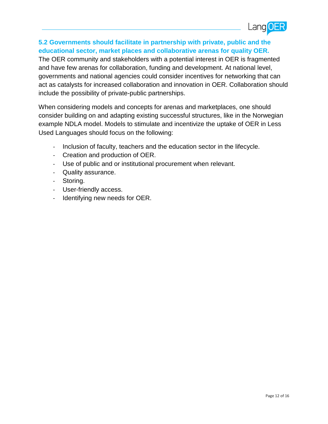

## **5.2 Governments should facilitate in partnership with private, public and the educational sector, market places and collaborative arenas for quality OER.**

The OER community and stakeholders with a potential interest in OER is fragmented and have few arenas for collaboration, funding and development. At national level, governments and national agencies could consider incentives for networking that can act as catalysts for increased collaboration and innovation in OER. Collaboration should include the possibility of private-public partnerships.

When considering models and concepts for arenas and marketplaces, one should consider building on and adapting existing successful structures, like in the Norwegian example NDLA model. Models to stimulate and incentivize the uptake of OER in Less Used Languages should focus on the following:

- Inclusion of faculty, teachers and the education sector in the lifecycle.
- Creation and production of OER.
- Use of public and or institutional procurement when relevant.
- Quality assurance.
- Storing.
- User-friendly access.
- Identifying new needs for OER.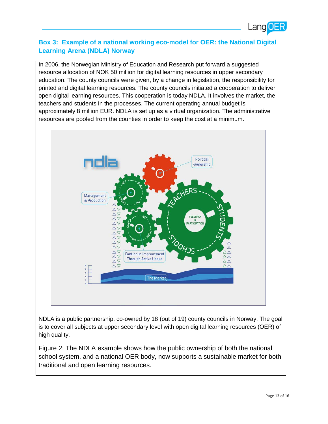

# **Box 3: Example of a national working eco-model for OER: the National Digital Learning Arena (NDLA) Norway**

In 2006, the Norwegian Ministry of Education and Research put forward a suggested resource allocation of NOK 50 million for digital learning resources in upper secondary education. The county councils were given, by a change in legislation, the responsibility for printed and digital learning resources. The county councils initiated a cooperation to deliver open digital learning resources. This cooperation is today NDLA. It involves the market, the teachers and students in the processes. The current operating annual budget is approximately 8 million EUR. NDLA is set up as a virtual organization. The administrative resources are pooled from the counties in order to keep the cost at a minimum.



NDLA is a public partnership, co-owned by 18 (out of 19) county councils in Norway. The goal is to cover all subjects at upper secondary level with open digital learning resources (OER) of high quality.

Figure 2: The NDLA example shows how the public ownership of both the national school system, and a national OER body, now supports a sustainable market for both traditional and open learning resources.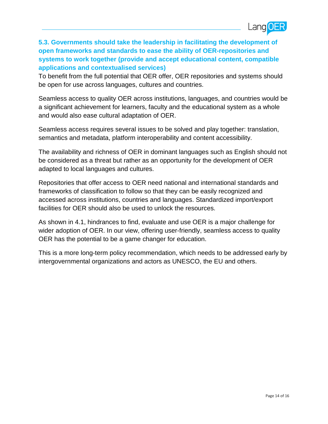

# **5.3. Governments should take the leadership in facilitating the development of open frameworks and standards to ease the ability of OER-repositories and systems to work together (provide and accept educational content, compatible applications and contextualised services)**

To benefit from the full potential that OER offer, OER repositories and systems should be open for use across languages, cultures and countries.

Seamless access to quality OER across institutions, languages, and countries would be a significant achievement for learners, faculty and the educational system as a whole and would also ease cultural adaptation of OER.

Seamless access requires several issues to be solved and play together: translation, semantics and metadata, platform interoperability and content accessibility.

The availability and richness of OER in dominant languages such as English should not be considered as a threat but rather as an opportunity for the development of OER adapted to local languages and cultures.

Repositories that offer access to OER need national and international standards and frameworks of classification to follow so that they can be easily recognized and accessed across institutions, countries and languages. Standardized import/export facilities for OER should also be used to unlock the resources.

As shown in 4.1, hindrances to find, evaluate and use OER is a major challenge for wider adoption of OER. In our view, offering user-friendly, seamless access to quality OER has the potential to be a game changer for education.

This is a more long-term policy recommendation, which needs to be addressed early by intergovernmental organizations and actors as UNESCO, the EU and others.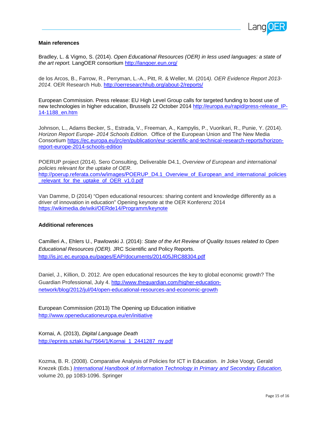

#### **Main references**

Bradley, L. & Vigmo, S. (2014). *Open Educational Resources (OER) in less used languages: a state of the art report.* LangOER consortium <http://langoer.eun.org/>

de los Arcos, B., Farrow, R., Perryman, L.-A., Pitt, R. & Weller, M. (2014*). OER Evidence Report 2013- 2014.* OER Research Hub.<http://oerresearchhub.org/about-2/reports/>

European Commission. Press release: EU High Level Group calls for targeted funding to boost use of new technologies in higher education, Brussels 22 October 2014 [http://europa.eu/rapid/press-release\\_IP-](http://europa.eu/rapid/press-release_IP-14-1188_en.htm)[14-1188\\_en.htm](http://europa.eu/rapid/press-release_IP-14-1188_en.htm)

Johnson, L., Adams Becker, S., Estrada, V., Freeman, A., Kampylis, P., Vuorikari, R., Punie, Y. (2014). *Horizon Report Europe- 2014 Schools Edition*. Office of the European Union and The New Media Consortium [https://ec.europa.eu/jrc/en/publication/eur-scientific-and-technical-research-reports/horizon](https://ec.europa.eu/jrc/en/publication/eur-scientific-and-technical-research-reports/horizon-report-europe-2014-schools-edition)[report-europe-2014-schools-edition](https://ec.europa.eu/jrc/en/publication/eur-scientific-and-technical-research-reports/horizon-report-europe-2014-schools-edition)

POERUP project (2014). Sero Consulting, Deliverable D4.1, *Overview of European and international policies relevant for the uptake of OER*. [http://poerup.referata.com/w/images/POERUP\\_D4.1\\_Overview\\_of\\_European\\_and\\_international\\_policies](http://poerup.referata.com/w/images/POERUP_D4.1_Overview_of_European_and_international_policies_relevant_for_the_uptake_of_OER_v1.0.pdf) [\\_relevant\\_for\\_the\\_uptake\\_of\\_OER\\_v1.0.pdf](http://poerup.referata.com/w/images/POERUP_D4.1_Overview_of_European_and_international_policies_relevant_for_the_uptake_of_OER_v1.0.pdf)

Van Damme, D (2014) "Open educational resources: sharing content and knowledge differently as a driver of innovation in education" Opening keynote at the OER Konferenz 2014 <https://wikimedia.de/wiki/OERde14/Programm/keynote>

#### **Additional references**

Camilleri A., Ehlers U., Pawlowski J. (2014): *State of the Art Review of Quality Issues related to Open Educational Resources (OER).* JRC Scientific and Policy Reports. <http://is.jrc.ec.europa.eu/pages/EAP/documents/201405JRC88304.pdf>

Daniel, J., Killion, D. 2012. Are open educational resources the key to global economic growth? The Guardian Professional, July 4. [http://www.theguardian.com/higher-education](http://www.theguardian.com/higher-education-network/blog/2012/jul/04/open-educational-resources-and-economic-growth)[network/blog/2012/jul/04/open-educational-resources-and-economic-growth](http://www.theguardian.com/higher-education-network/blog/2012/jul/04/open-educational-resources-and-economic-growth)

European Commission (2013) The Opening up Education initiative <http://www.openeducationeuropa.eu/en/initiative>

Kornai, A. (2013), *Digital Language Death* http://eprints.sztaki.hu/7564/1/Kornai\_1\_2441287\_ny.pdf

Kozma, B. R. (2008). Comparative Analysis of Policies for ICT in Education*. In* Joke Voogt, Gerald Knezek (Eds.) *[International Handbook of Information Technology in Primary and Secondary Education,](http://link.springer.com/book/10.1007/978-0-387-73315-9)* volume 20, pp 1083-1096. Springer